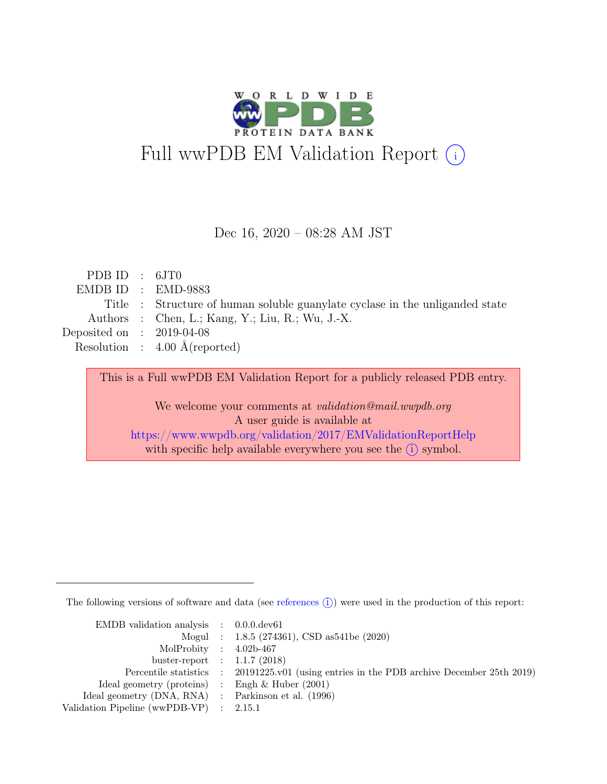

Dec 16, 2020 – 08:28 AM JST

| PDB ID : $6JT0$             |                                                                              |
|-----------------------------|------------------------------------------------------------------------------|
|                             | $EMDBID : EMD-9883$                                                          |
|                             | Title : Structure of human soluble guanylate cyclase in the unliganded state |
|                             | Authors : Chen, L.; Kang, Y.; Liu, R.; Wu, J.-X.                             |
| Deposited on : $2019-04-08$ |                                                                              |
|                             | Resolution : $4.00 \text{ Å}$ (reported)                                     |
|                             |                                                                              |

This is a Full wwPDB EM Validation Report for a publicly released PDB entry. We welcome your comments at validation@mail.wwpdb.org A user guide is available at <https://www.wwpdb.org/validation/2017/EMValidationReportHelp> with specific help available everywhere you see the  $(i)$  symbol.

The following versions of software and data (see [references](https://www.wwpdb.org/validation/2017/EMValidationReportHelp#references)  $\hat{I}$ ) were used in the production of this report:

| EMDB validation analysis : $0.0.0$ .dev $61$        |                                                                                            |
|-----------------------------------------------------|--------------------------------------------------------------------------------------------|
|                                                     | Mogul : 1.8.5 (274361), CSD as541be (2020)                                                 |
| MolProbity : $4.02b-467$                            |                                                                                            |
| buster-report : $1.1.7$ (2018)                      |                                                                                            |
|                                                     | Percentile statistics : 20191225.v01 (using entries in the PDB archive December 25th 2019) |
| Ideal geometry (proteins) : Engh $\&$ Huber (2001)  |                                                                                            |
| Ideal geometry (DNA, RNA) : Parkinson et al. (1996) |                                                                                            |
| Validation Pipeline (wwPDB-VP) : $2.15.1$           |                                                                                            |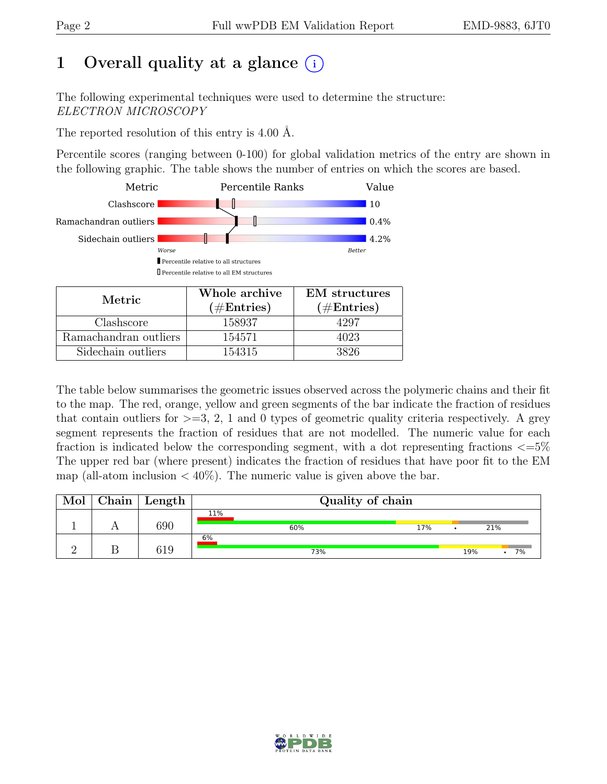## 1 Overall quality at a glance  $(i)$

The following experimental techniques were used to determine the structure: ELECTRON MICROSCOPY

The reported resolution of this entry is 4.00 Å.

Percentile scores (ranging between 0-100) for global validation metrics of the entry are shown in the following graphic. The table shows the number of entries on which the scores are based.



| Metric.               | Whole archive<br>$(\#Entries)$ | <b>EM</b> structures<br>$(\#Entries)$ |
|-----------------------|--------------------------------|---------------------------------------|
| Clashscore            | 158937                         |                                       |
| Ramachandran outliers | 154571                         | 4023                                  |
| Sidechain outliers    | 154315                         | 3826                                  |

The table below summarises the geometric issues observed across the polymeric chains and their fit to the map. The red, orange, yellow and green segments of the bar indicate the fraction of residues that contain outliers for  $>=$  3, 2, 1 and 0 types of geometric quality criteria respectively. A grey segment represents the fraction of residues that are not modelled. The numeric value for each fraction is indicated below the corresponding segment, with a dot representing fractions  $\epsilon = 5\%$ The upper red bar (where present) indicates the fraction of residues that have poor fit to the EM map (all-atom inclusion  $\langle 40\% \rangle$ ). The numeric value is given above the bar.

| Mol | $Chain$ Length | Quality of chain |     |     |     |    |  |
|-----|----------------|------------------|-----|-----|-----|----|--|
|     | 690            | 11%<br>60%       | 17% |     | 21% |    |  |
|     | 619            | 6%<br>73%        |     | 19% |     | 7% |  |

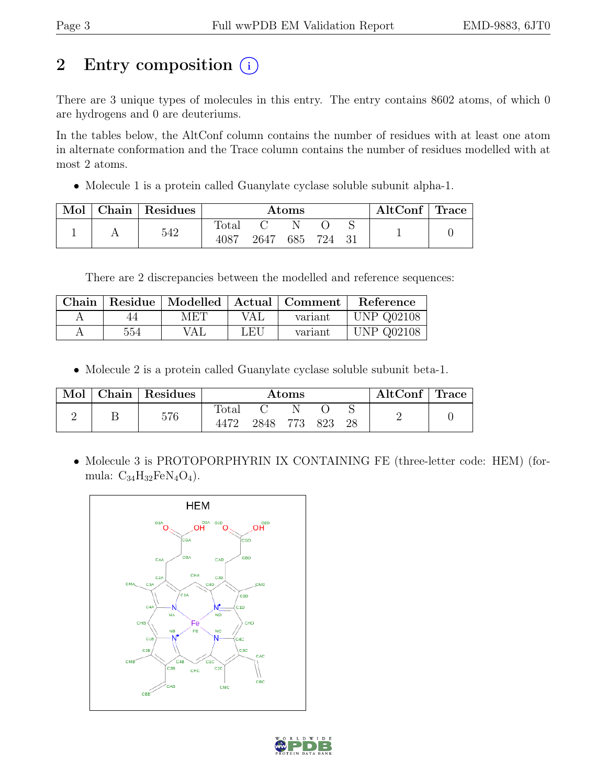## 2 Entry composition (i)

There are 3 unique types of molecules in this entry. The entry contains 8602 atoms, of which 0 are hydrogens and 0 are deuteriums.

In the tables below, the AltConf column contains the number of residues with at least one atom in alternate conformation and the Trace column contains the number of residues modelled with at most 2 atoms.

• Molecule 1 is a protein called Guanylate cyclase soluble subunit alpha-1.

| Mol | Chain | Residues | $\rm{Atoms}$  |      |     |     | AltConf | ' Trace |  |
|-----|-------|----------|---------------|------|-----|-----|---------|---------|--|
|     | A     | 542      | Total<br>4087 | 2647 | 685 | 724 |         |         |  |

There are 2 discrepancies between the modelled and reference sequences:

|     | Chain   Residue   Modelled   Actual   Comment |     |         | Reference         |
|-----|-----------------------------------------------|-----|---------|-------------------|
| 44  | MET                                           | VAL | variant | <b>UNP Q02108</b> |
| 554 | VAI                                           | LEU | variant | <b>UNP Q02108</b> |

• Molecule 2 is a protein called Guanylate cyclase soluble subunit beta-1.

| Mol | Chain   Residues | Atoms          |      |     | AltConf | $^{\mathrm{+}}$ Trace |  |  |
|-----|------------------|----------------|------|-----|---------|-----------------------|--|--|
|     | 576              | $_{\rm Total}$ | 2848 | 773 | 823     | 28                    |  |  |

• Molecule 3 is PROTOPORPHYRIN IX CONTAINING FE (three-letter code: HEM) (formula:  $C_{34}H_{32}FeN_4O_4$ .



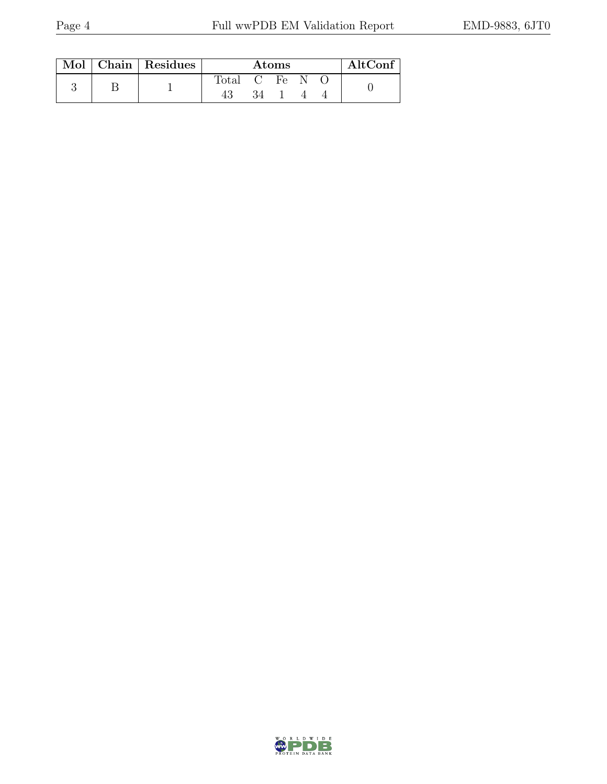|  | Mol   Chain   Residues | Atoms |  |        |  | AltCont |  |
|--|------------------------|-------|--|--------|--|---------|--|
|  |                        | Total |  | $C$ Fe |  |         |  |
|  |                        | 43    |  |        |  |         |  |

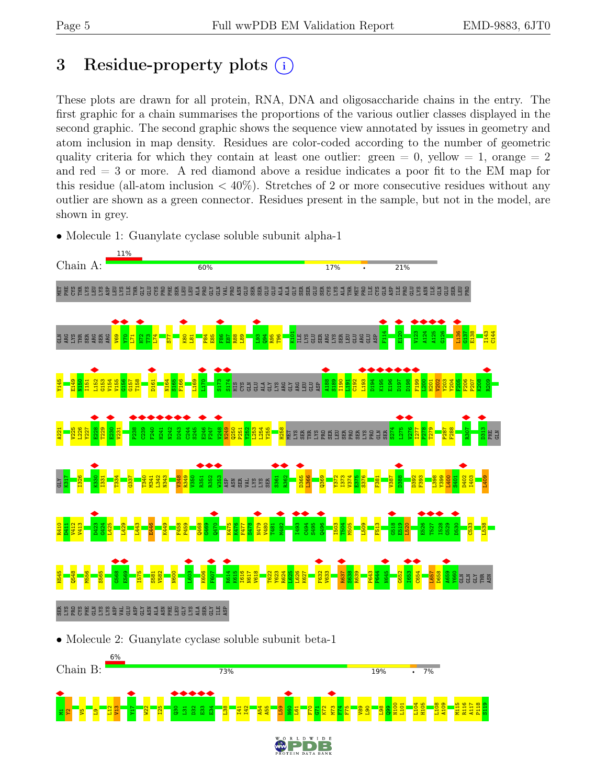## <span id="page-4-0"></span>3 Residue-property plots (i)

These plots are drawn for all protein, RNA, DNA and oligosaccharide chains in the entry. The first graphic for a chain summarises the proportions of the various outlier classes displayed in the second graphic. The second graphic shows the sequence view annotated by issues in geometry and atom inclusion in map density. Residues are color-coded according to the number of geometric quality criteria for which they contain at least one outlier: green  $= 0$ , yellow  $= 1$ , orange  $= 2$ and red = 3 or more. A red diamond above a residue indicates a poor fit to the EM map for this residue (all-atom inclusion  $\langle 40\% \rangle$ ). Stretches of 2 or more consecutive residues without any outlier are shown as a green connector. Residues present in the sample, but not in the model, are shown in grey.

• Molecule 1: Guanylate cyclase soluble subunit alpha-1



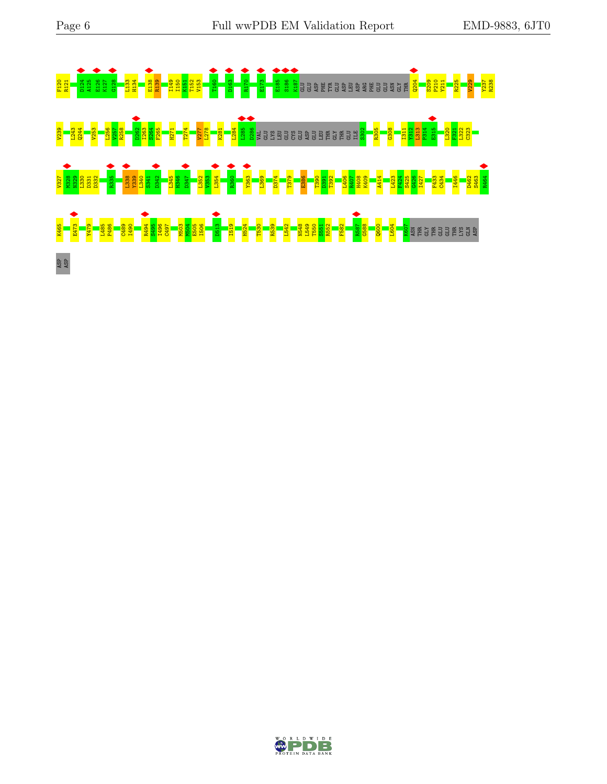

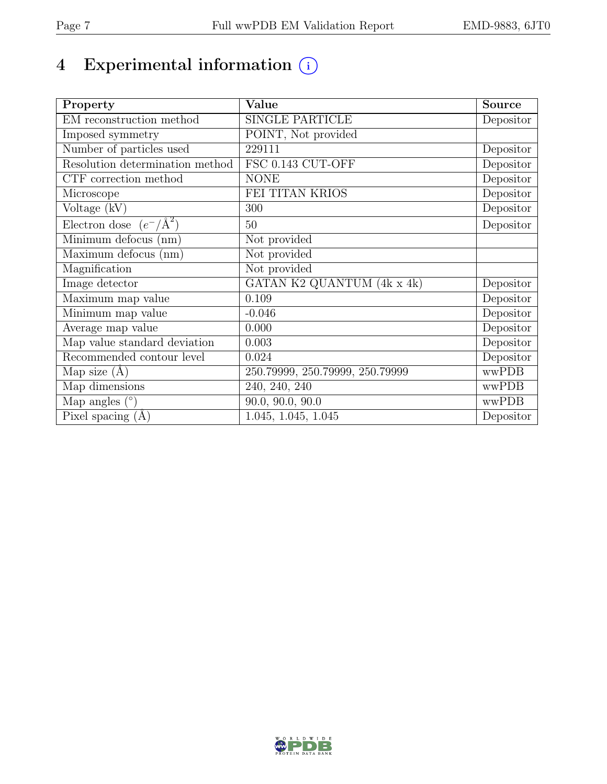# 4 Experimental information  $\bigcirc$

| Property                                  | Value                            | <b>Source</b>                  |
|-------------------------------------------|----------------------------------|--------------------------------|
| EM reconstruction method                  | <b>SINGLE PARTICLE</b>           | Depositor                      |
| Imposed symmetry                          | POINT, Not provided              |                                |
| Number of particles used                  | 229111                           | Depositor                      |
| Resolution determination method           | FSC 0.143 CUT-OFF                | Depositor                      |
| $\overline{\text{CTF}}$ correction method | <b>NONE</b>                      | Depositor                      |
| Microscope                                | FEI TITAN KRIOS                  | Depositor                      |
| Voltage (kV)                              | 300                              | Depositor                      |
| Electron dose $(e^-/\text{\AA}^2)$        | 50                               | Depositor                      |
| Minimum defocus (nm)                      | Not provided                     |                                |
| Maximum defocus (nm)                      | Not provided                     |                                |
| Magnification                             | Not provided                     |                                |
| Image detector                            | GATAN K2 QUANTUM (4k x 4k)       | Depositor                      |
| Maximum map value                         | 0.109                            | Depositor                      |
| Minimum map value                         | $-0.046$                         | Depositor                      |
| Average map value                         | 0.000                            | Depositor                      |
| Map value standard deviation              | 0.003                            | $\overline{\text{De}}$ positor |
| Recommended contour level                 | 0.024                            | Depositor                      |
| Map size $(A)$                            | 250.79999, 250.79999, 250.79999  | wwPDB                          |
| Map dimensions                            | 240, 240, 240                    | wwPDB                          |
| Map angles $(°)$                          | $\overline{90.0}$ , 90.0, 90.0   | wwPDB                          |
| Pixel spacing $(A)$                       | $\overline{1.0}45, 1.045, 1.045$ | Depositor                      |

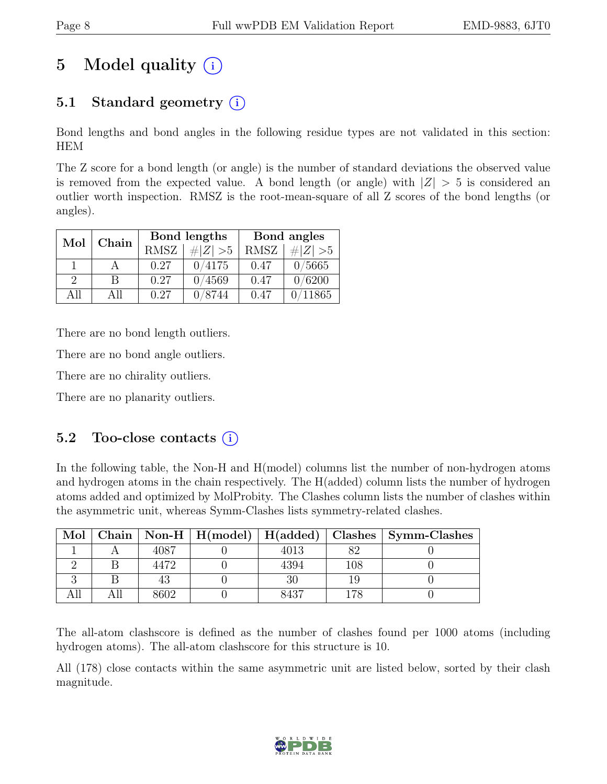## 5 Model quality  $(i)$

## 5.1 Standard geometry  $(i)$

Bond lengths and bond angles in the following residue types are not validated in this section: HEM

The Z score for a bond length (or angle) is the number of standard deviations the observed value is removed from the expected value. A bond length (or angle) with  $|Z| > 5$  is considered an outlier worth inspection. RMSZ is the root-mean-square of all Z scores of the bond lengths (or angles).

| Mol           | Chain        |             | Bond lengths | Bond angles |             |  |
|---------------|--------------|-------------|--------------|-------------|-------------|--|
|               |              | <b>RMSZ</b> | $\# Z  > 5$  | RMSZ        | # $ Z  > 5$ |  |
|               |              | 0.27        | 0/4175       | 0.47        | 0/5665      |  |
| $\mathcal{D}$ | <sub>R</sub> | 0.27        | 0/4569       | 0.47        | 0/6200      |  |
| ΑH            | All          | 0.27        | 0/8744       | 0.47        | $-11865$    |  |

There are no bond length outliers.

There are no bond angle outliers.

There are no chirality outliers.

There are no planarity outliers.

### 5.2 Too-close contacts  $(i)$

In the following table, the Non-H and H(model) columns list the number of non-hydrogen atoms and hydrogen atoms in the chain respectively. The H(added) column lists the number of hydrogen atoms added and optimized by MolProbity. The Clashes column lists the number of clashes within the asymmetric unit, whereas Symm-Clashes lists symmetry-related clashes.

| Mol |        | Chain   Non-H   H(model)   H(added)   Clashes |      |         | Symm-Clashes |
|-----|--------|-----------------------------------------------|------|---------|--------------|
|     | $+087$ |                                               | 4013 |         |              |
|     | 4472   |                                               |      | $108\,$ |              |
|     | 4.     |                                               |      |         |              |
|     | 3602   |                                               | 8437 |         |              |

The all-atom clashscore is defined as the number of clashes found per 1000 atoms (including hydrogen atoms). The all-atom clashscore for this structure is 10.

All (178) close contacts within the same asymmetric unit are listed below, sorted by their clash magnitude.

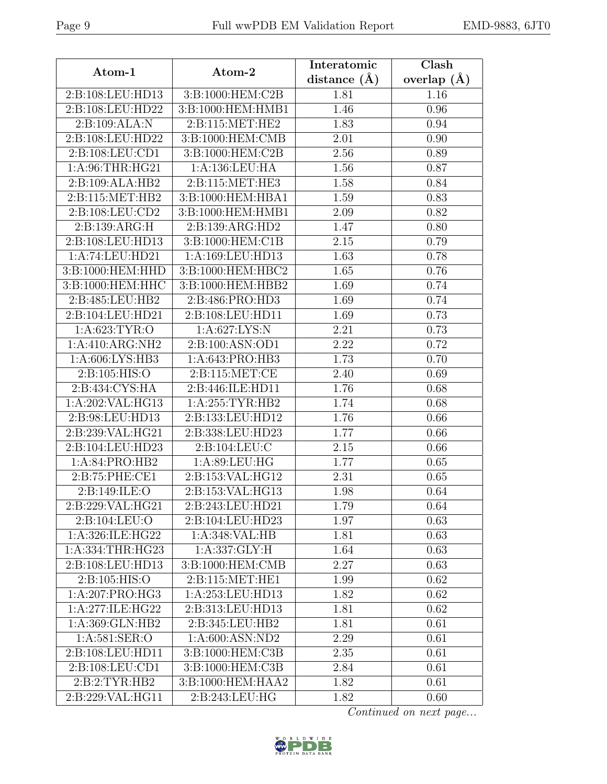| Atom-1                          | Atom-2              | Interatomic      | Clash           |
|---------------------------------|---------------------|------------------|-----------------|
|                                 |                     | distance $(\AA)$ | overlap $(\AA)$ |
| 2:B:108:LEU:HD13                | 3:B:1000:HEM:C2B    | 1.81             | 1.16            |
| 2:B:108:LEU:HD22                | 3:B:1000:HEM:HMB1   | 1.46             | 0.96            |
| 2:B:109:ALA:N                   | 2:B:115:MET:HE2     | 1.83             | 0.94            |
| 2:B:108:LEU:HD22                | 3:B:1000:HEM:CMB    | 2.01             | 0.90            |
| 2:B:108:LEU:CD1                 | 3:B:1000:HEM:C2B    | 2.56             | 0.89            |
| 1:A:96:THR:HG21                 | 1:A:136:LEU:HA      | 1.56             | 0.87            |
| 2:B:109:ALA:HB2                 | 2:B:115:MET:HE3     | 1.58             | 0.84            |
| 2:B:115:MET:HB2                 | 3:B:1000:HEM:HBA1   | 1.59             | 0.83            |
| 2:B:108:LEU:CD2                 | 3:B:1000:HEM:HMB1   | 2.09             | 0.82            |
| 2:B:139:ARG:H                   | 2:B:139:ARG:HD2     | 1.47             | 0.80            |
| 2:B:108:LEU:HD13                | 3:B:1000:HEM:C1B    | 2.15             | 0.79            |
| 1:A:74:LEU:HD21                 | 1:A:169:LEU:HD13    | 1.63             | 0.78            |
| $3: B:1000: \overline{HEM:HHD}$ | 3:B:1000:HEM:HBC2   | 1.65             | 0.76            |
| 3:B:1000:HEM:HHC                | 3:B:1000:HEM:HBB2   | 1.69             | 0.74            |
| 2:B:485:LEU:HB2                 | 2:B:486:PRO:HD3     | 1.69             | 0.74            |
| 2:B:104:LEU:HD21                | 2:B:108:LEU:HD11    | 1.69             | 0.73            |
| 1: A:623: TYR:O                 | 1: A:627: LYS: N    | 2.21             | 0.73            |
| 1:A:410:ARG:NH2                 | 2: B: 100: ASN: OD1 | 2.22             | 0.72            |
| 1: A:606: LYS: HB3              | 1:A:643:PRO:HB3     | 1.73             | 0.70            |
| 2:B:105:HIS:O                   | 2:B:115:MET:CE      | 2.40             | 0.69            |
| 2:B:434:CYS:HA                  | 2:B:446:ILE:HD11    | 1.76             | 0.68            |
| 1:A:202:VAL:HG13                | 1: A:255: TYR:HB2   | 1.74             | 0.68            |
| 2:B:98:LEU:HD13                 | 2:B:133:LEU:HD12    | 1.76             | 0.66            |
| 2:B:239:VAL:HG21                | 2:B:338:LEU:HD23    | 1.77             | 0.66            |
| 2:B:104:LEU:HD23                | 2:B:104:LEU:C       | 2.15             | 0.66            |
| 1:A:84:PRO:HB2                  | 1: A:89: LEU: HG    | 1.77             | 0.65            |
| 2:B:75:PHE:CE1                  | 2:B:153:VAL:HG12    | 2.31             | 0.65            |
| 2:B:149:ILE:O                   | 2:B:153:VAL:HG13    | 1.98             | 0.64            |
| 2:B:229:VAL:HG21                | 2:B:243:LEU:HD21    | 1.79             | 0.64            |
| 2:B:104:LEU:O                   | 2:B:104:LEU:HD23    | 1.97             | 0.63            |
| 1:A:326:ILE:HG22                | 1:A:348: VAL: HB    | 1.81             | 0.63            |
| 1:A:334:THR:HG23                | 1: A: 337: GLY: H   | 1.64             | 0.63            |
| 2:B:108:LEU:HD13                | 3:B:1000:HEM:CMB    | 2.27             | 0.63            |
| 2: B: 105: HIS: O               | 2:B:115:MET:HE1     | 1.99             | 0.62            |
| 1:A:207:PRO:HG3                 | 1:A:253:LEU:HD13    | 1.82             | 0.62            |
| 1:A:277:ILE:HG22                | 2:B:313:LEU:HD13    | 1.81             | 0.62            |
| 1: A:369: GLN: HB2              | 2:B:345:LEU:HB2     | 1.81             | 0.61            |
| 1:A:581:SER:O                   | 1:A:600:ASN:ND2     | 2.29             | 0.61            |
| 2:B:108:LEU:HD11                | 3:B:1000:HEM:C3B    | 2.35             | 0.61            |
| 2:B:108:LEU:CD1                 | 3:B:1000:HEM:C3B    | 2.84             | 0.61            |
| 2: B:2: TYR: HB2                | 3:B:1000:HEM:HAA2   | 1.82             | 0.61            |
| 2:B:229:VAL:HG11                | 2:B:243:LEU:HG      | 1.82             | 0.60            |

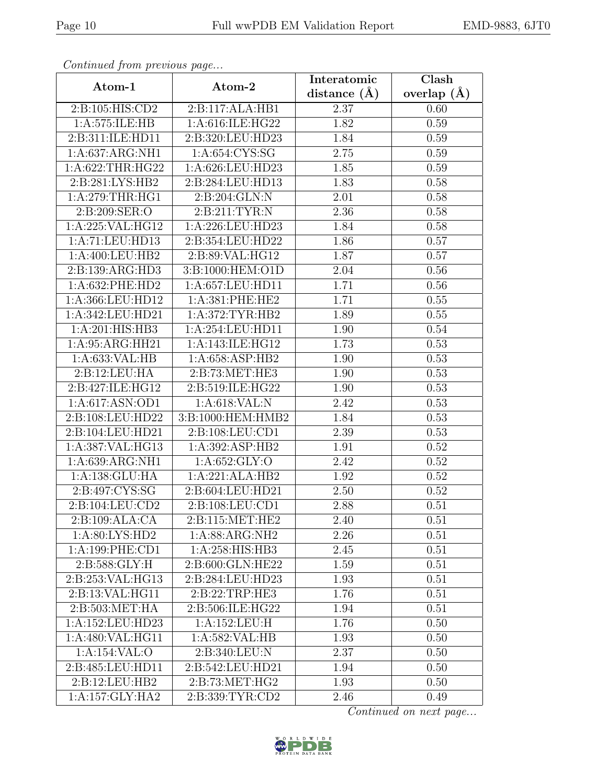|                   |                    | Interatomic      | Clash         |
|-------------------|--------------------|------------------|---------------|
| Atom-1            | Atom-2             | distance $(\AA)$ | overlap $(A)$ |
| 2:B:105:HIS:CD2   | 2:B:117:ALA:HB1    | 2.37             | 0.60          |
| 1:A:575:ILE:HB    | 1:A:616:ILE:HG22   | 1.82             | 0.59          |
| 2:B:311:ILE:HD11  | 2:B:320:LEU:HD23   | 1.84             | 0.59          |
| 1: A:637: ARG:NH1 | 1:A:654:CYS:SG     | 2.75             | 0.59          |
| 1:A:622:THR:HG22  | 1:A:626:LEU:HD23   | 1.85             | 0.59          |
| 2:B:281:LYS:HB2   | 2:B:284:LEU:HD13   | 1.83             | 0.58          |
| 1: A:279:THR:HG1  | 2:B:204:GLN:N      | 2.01             | 0.58          |
| 2:B:209:SER:O     | 2: B:211: TYR: N   | 2.36             | 0.58          |
| 1:A:225:VAL:HG12  | 1:A:226:LEU:HD23   | 1.84             | 0.58          |
| 1:A:71:LEU:HD13   | 2:B:354:LEU:HD22   | 1.86             | 0.57          |
| 1:A:400:LEU:HB2   | 2:B:89:VAL:HG12    | 1.87             | 0.57          |
| 2:B:139:ARG:HD3   | 3:B:1000:HEM:O1D   | 2.04             | 0.56          |
| 1:A:632:PHE:HD2   | 1:A:657:LEU:HD11   | 1.71             | 0.56          |
| 1:A:366:LEU:HD12  | 1: A:381: PHE:HE2  | 1.71             | 0.55          |
| 1:A:342:LEU:HD21  | 1: A:372: TYR: HB2 | 1.89             | 0.55          |
| 1:A:201:HIS:HB3   | 1:A:254:LEU:HD11   | 1.90             | 0.54          |
| 1:A:95:ARG:HH21   | 1:A:143:ILE:HG12   | 1.73             | 0.53          |
| 1: A:633: VAL:HB  | 1:A:658:ASP:HB2    | 1.90             | 0.53          |
| 2:B:12:LEU:HA     | 2:B:73:MET:HE3     | 1.90             | 0.53          |
| 2:B:427:ILE:HG12  | 2:B:519:ILE:HG22   | 1.90             | 0.53          |
| 1:A:617:ASN:OD1   | 1:A:618:VAL:N      | 2.42             | 0.53          |
| 2:B:108:LEU:HD22  | 3:B:1000:HEM:HMB2  | 1.84             | 0.53          |
| 2:B:104:LEU:HD21  | 2:B:108:LEU:CD1    | 2.39             | 0.53          |
| 1:A:387:VAL:HG13  | 1:A:392:ASP:HB2    | 1.91             | 0.52          |
| 1:A:639:ARG:NH1   | 1: A:652: GLY:O    | 2.42             | 0.52          |
| 1:A:138:GLU:HA    | 1:A:221:ALA:HB2    | 1.92             | 0.52          |
| 2:B:497:CYS:SG    | 2:B:604:LEU:HD21   | 2.50             | 0.52          |
| 2:B:104:LEU:CD2   | 2:B:108:LEU:CD1    | 2.88             | 0.51          |
| 2:B:109:ALA:CA    | 2:B:115:MET:HE2    | 2.40             | 0.51          |
| 1:A:80:LYS:HD2    | 1:A:88:ARG:NH2     | 2.26             | 0.51          |
| 1:A:199:PHE:CD1   | 1:A:258:HIS:HB3    | 2.45             | 0.51          |
| 2:B:588:GLY:H     | 2:B:600:GLN:HE22   | 1.59             | 0.51          |
| 2:B:253:VAL:HG13  | 2:B:284:LEU:HD23   | 1.93             | 0.51          |
| 2:B:13:VAL:HG11   | 2: B:22:TRP:HE3    | 1.76             | 0.51          |
| 2:B:503:MET:HA    | 2:B:506:ILE:HG22   | 1.94             | 0.51          |
| 1:A:152:LEU:HD23  | 1:A:152:LEU:H      | 1.76             | 0.50          |
| 1:A:480:VAL:HG11  | 1:A:582:VAL:HB     | 1.93             | 0.50          |
| 1:A:154:VAL:O     | 2: B:340: LEU: N   | 2.37             | 0.50          |
| 2:B:485:LEU:HD11  | 2:B:542:LEU:HD21   | 1.94             | 0.50          |
| 2:B:12:LEU:HB2    | 2:B:73:MET:HG2     | 1.93             | 0.50          |
| 1:A:157:GLY:HA2   | 2:B:339:TYR:CD2    | 2.46             | 0.49          |

Continued from previous page.

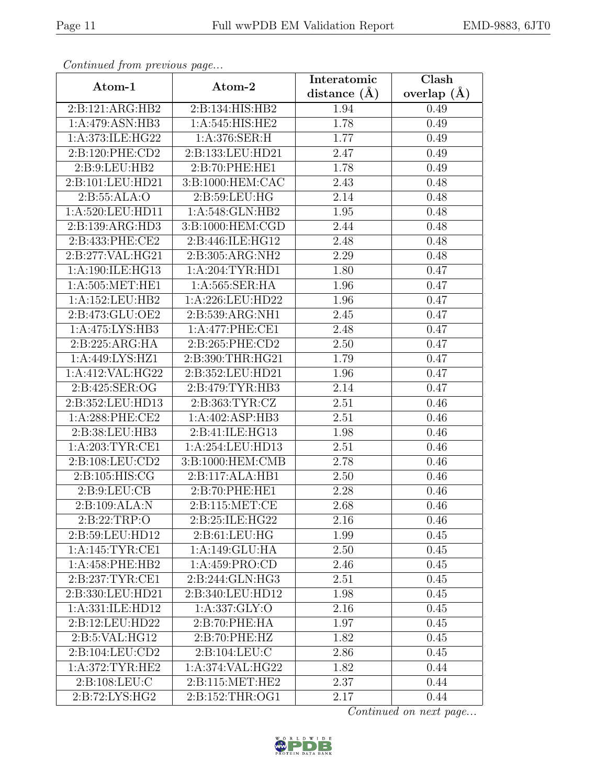| $P$ and $P$ and $P$ and $P$ and $P$ and $P$ and $P$ and $P$ and $P$ and $P$ and $P$ and $P$ and $P$ and $P$ and $P$ and $P$ and $P$ and $P$ and $P$ and $P$ and $P$ and $P$ and $P$ and $P$ and $P$ and $P$ and $P$ and $P$ a |                    | Interatomic      | $\overline{\text{Clash}}$ |
|-------------------------------------------------------------------------------------------------------------------------------------------------------------------------------------------------------------------------------|--------------------|------------------|---------------------------|
| Atom-1                                                                                                                                                                                                                        | Atom-2             | distance $(\AA)$ | overlap $(\AA)$           |
| 2:B:121:ARG:HB2                                                                                                                                                                                                               | 2:B:134:HIS:HB2    | 1.94             | 0.49                      |
| 1:A:479:ASN:HB3                                                                                                                                                                                                               | 1: A:545: HIS: HE2 | 1.78             | 0.49                      |
| 1:A:373:ILE:HG22                                                                                                                                                                                                              | 1:A:376:SER:H      | 1.77             | 0.49                      |
| 2: B: 120: PHE: CD2                                                                                                                                                                                                           | 2:B:133:LEU:HD21   | 2.47             | 0.49                      |
| 2:B:9:LEU:HB2                                                                                                                                                                                                                 | 2:B:70:PHE:HE1     | 1.78             | 0.49                      |
| 2:B:101:LEU:HD21                                                                                                                                                                                                              | 3:B:1000:HEM:CAC   | 2.43             | 0.48                      |
| 2:B:55:ALA:O                                                                                                                                                                                                                  | 2:B:59:LEU:HG      | 2.14             | 0.48                      |
| 1:A:520:LEU:HD11                                                                                                                                                                                                              | 1:A:548:GLN:HB2    | 1.95             | 0.48                      |
| 2:B:139:ARG:HD3                                                                                                                                                                                                               | 3:B:1000:HEM:CGD   | 2.44             | 0.48                      |
| 2:B:433:PHE:CE2                                                                                                                                                                                                               | 2:B:446:ILE:HG12   | 2.48             | 0.48                      |
| 2:B:277:VAL:HG21                                                                                                                                                                                                              | 2:B:305:ARG:NH2    | 2.29             | 0.48                      |
| 1: A:190: ILE: HG13                                                                                                                                                                                                           | 1:A:204:TYR:HD1    | 1.80             | 0.47                      |
| 1: A:505: MET:HE1                                                                                                                                                                                                             | 1: A: 565: SER: HA | 1.96             | 0.47                      |
| 1:A:152:LEU:HB2                                                                                                                                                                                                               | 1:A:226:LEU:HD22   | 1.96             | 0.47                      |
| 2:B:473:GLU:OE2                                                                                                                                                                                                               | 2:B:539:ARG:NH1    | 2.45             | 0.47                      |
| 1:A:475:LYS:HB3                                                                                                                                                                                                               | 1:A:477:PHE:CE1    | 2.48             | 0.47                      |
| 2:B:225:ARG:HA                                                                                                                                                                                                                | 2:B:265:PHE:CD2    | 2.50             | 0.47                      |
| 1:A:449:LYS:HZ1                                                                                                                                                                                                               | 2:B:390:THR:HG21   | 1.79             | 0.47                      |
| 1:A:412:VAL:HG22                                                                                                                                                                                                              | 2:B:352:LEU:HD21   | 1.96             | 0.47                      |
| 2:B:425:SER:OG                                                                                                                                                                                                                | 2:B:479:TYR:HB3    | 2.14             | 0.47                      |
| 2:B:352:LEU:HD13                                                                                                                                                                                                              | 2:B:363:TYR:CZ     | 2.51             | 0.46                      |
| 1:A:288:PHE:CE2                                                                                                                                                                                                               | 1:A:402:ASP:HB3    | 2.51             | 0.46                      |
| 2:B:38:LEU:HB3                                                                                                                                                                                                                | 2:B:41:ILE:HG13    | 1.98             | 0.46                      |
| 1:A:203:TYR:CE1                                                                                                                                                                                                               | 1:A:254:LEU:HD13   | 2.51             | 0.46                      |
| 2:B:108:LEU:CD2                                                                                                                                                                                                               | 3:B:1000:HEM:CMB   | 2.78             | 0.46                      |
| 2: B:105: HIS: CG                                                                                                                                                                                                             | 2:B:117:ALA:HB1    | 2.50             | 0.46                      |
| 2: B:9: LEU: CB                                                                                                                                                                                                               | 2:B:70:PHE:HE1     | 2.28             | 0.46                      |
| 2:B:109:ALA:N                                                                                                                                                                                                                 | 2: B: 115: MET: CE | 2.68             | 0.46                      |
| 2: B:22:TRP:O                                                                                                                                                                                                                 | 2:B:25:ILE:HG22    | 2.16             | 0.46                      |
| 2:B:59:LEU:HD12                                                                                                                                                                                                               | 2: B:61: LEU: HG   | 1.99             | 0.45                      |
| 1: A:145: TYR: CE1                                                                                                                                                                                                            | 1:A:149:GLU:HA     | 2.50             | 0.45                      |
| 1:A:458:PHE:HB2                                                                                                                                                                                                               | 1:A:459:PRO:CD     | 2.46             | 0.45                      |
| 2:B:237:TYR:CE1                                                                                                                                                                                                               | 2:B:244:GLN:HG3    | 2.51             | 0.45                      |
| 2:B:330:LEU:HD21                                                                                                                                                                                                              | 2:B:340:LEU:HD12   | 1.98             | 0.45                      |
| 1:A:331:ILE:HD12                                                                                                                                                                                                              | 1:A:337:GLY:O      | 2.16             | 0.45                      |
| 2:B:12:LEU:HD22                                                                                                                                                                                                               | 2:B:70:PHE:HA      | 1.97             | 0.45                      |
| 2:B:5:VAL:HG12                                                                                                                                                                                                                | 2: B:70: PHE: HZ   | 1.82             | 0.45                      |
| 2:B:104:LEU:CD2                                                                                                                                                                                                               | 2:B:104:LEU:C      | 2.86             | 0.45                      |
| 1: A:372:TYR:HE2                                                                                                                                                                                                              | 1:A:374:VAL:HG22   | 1.82             | 0.44                      |
| 2:B:108:LEU:C                                                                                                                                                                                                                 | 2:B:115:MET:HE2    | 2.37             | 0.44                      |
| 2:B:72:LYS:HG2                                                                                                                                                                                                                | 2:B:152:THR:OG1    | 2.17             | 0.44                      |

Continued from previous page...

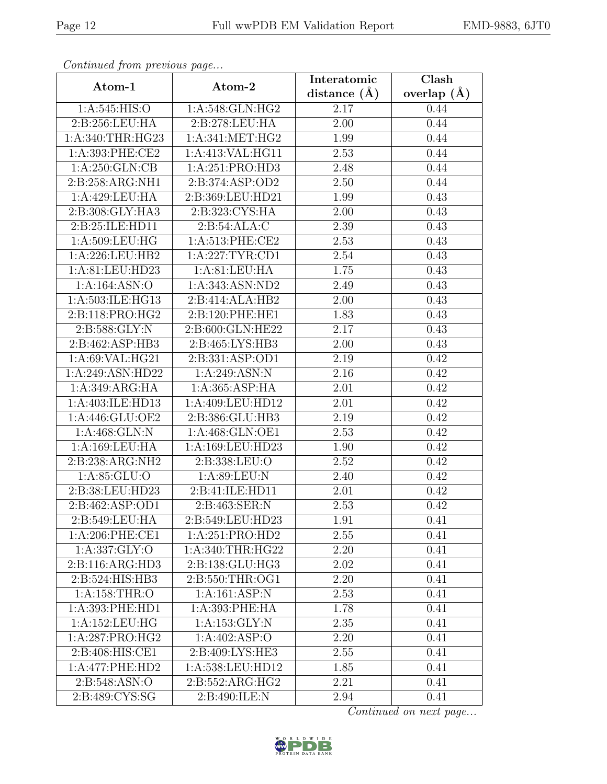| Continuum from protious page |                                                      | Interatomic      | Clash           |
|------------------------------|------------------------------------------------------|------------------|-----------------|
| Atom-1                       | Atom-2                                               | distance $(\AA)$ | overlap $(\AA)$ |
| 1: A:545: HIS:O              | 1:A:548:GLN:HG2                                      | 2.17             | 0.44            |
| 2:B:256:LEU:HA               | 2:B:278:LEU:HA                                       | 2.00             | 0.44            |
| 1:A:340:THR:HG23             | 1: A:341: MET:HG2                                    | 1.99             | 0.44            |
| 1:A:393:PHE:CE2              | 1:A:413:VAL:HG11                                     | 2.53             | 0.44            |
| 1: A:250: GLN:CB             | 1:A:251:PRO:HD3                                      | 2.48             | 0.44            |
| 2:B:258:ARG:NH1              | 2:B:374:ASP:OD2                                      | 2.50             | 0.44            |
| 1:A:429:LEU:HA               | 2:B:369:LEU:HD21                                     | 1.99             | 0.43            |
| 2:B:308:GLY:HA3              | 2:B:323:CYS:HA                                       | 2.00             | 0.43            |
| 2:B:25:ILE:HD11              | 2:B:54:ALA:C                                         | 2.39             | 0.43            |
| 1:A:509:LEU:HG               | 1:A:513:PHE:CE2                                      | 2.53             | 0.43            |
| 1:A:226:LEU:HB2              | 1:A:227:TYR:CD1                                      | 2.54             | 0.43            |
| 1:A:81:LEU:HD23              | 1: A:81: LEU: HA                                     | 1.75             | 0.43            |
| 1: A: 164: ASN: O            | 1:A:343:ASN:ND2                                      | 2.49             | 0.43            |
| 1:A:503:ILE:HG13             | 2:B:414:ALA:HB2                                      | 2.00             | 0.43            |
| 2:B:118:PRO:HG2              | 2:B:120:PHE:HE1                                      | 1.83             | 0.43            |
| 2: B: 588: GLY: N            | 2:B:600:GLN:HE22                                     | 2.17             | 0.43            |
| 2:B:462:ASP:HB3              | 2:B:465:LYS:HB3                                      | 2.00             | 0.43            |
| 1:A:69:VAL:HG21              | 2:B:331:ASP:OD1                                      | 2.19             | 0.42            |
| 1:A:249:ASN:HD22             | 1:A:249:ASN:N                                        | 2.16             | 0.42            |
| 1:A:349:ARG:HA               | 1: A:365: ASP: HA                                    | 2.01             | 0.42            |
| 1:A:403:ILE:HD13             | 1:A:409:LEU:HD12                                     | 2.01             | 0.42            |
| 1:A:446:GLU:OE2              | 2:B:386:GLU:HB3                                      | 2.19             | 0.42            |
| 1:A:468:GLN:N                | 1:A:468:GLN:OE1                                      | 2.53             | 0.42            |
| 1:A:169:LEU:HA               | 1:A:169:LEU:HD23                                     | 1.90             | 0.42            |
| 2:B:238:ARG:NH2              | 2:B:338:LEU:O                                        | 2.52             | 0.42            |
| 1:A:85:GLU:O                 | 1:A:89:LEU:N                                         | 2.40             | 0.42            |
| 2:B:38:LEU:HD23              | 2:B:41:ILE:HD11                                      | 2.01             | 0.42            |
| 2:B:462:ASP:OD1              | $2: B:463:\overline{\text{SER}}:\overline{\text{N}}$ | 2.53             | 0.42            |
| 2:B:549:LEU:HA               | 2:B:549:LEU:HD23                                     | 1.91             | 0.41            |
| 1:A:206:PHE:CE1              | 1:A:251:PRO:HD2                                      | 2.55             | 0.41            |
| 1: A: 337: GLY: O            | 1:A:340:THR:HG22                                     | 2.20             | 0.41            |
| 2:B:116:ARG:HD3              | 2:B:138:GLU:HG3                                      | 2.02             | 0.41            |
| 2:B:524:HIS:HB3              | 2:B:550:THR:OG1                                      | 2.20             | 0.41            |
| 1:A:158:THR:O                | 1:A:161:ASP:N                                        | 2.53             | 0.41            |
| 1:A:393:PHE:HD1              | 1:A:393:PHE:HA                                       | 1.78             | 0.41            |
| 1:A:152:LEU:HG               | 1: A: 153: GLY: N                                    | 2.35             | 0.41            |
| 1:A:287:PRO:HG2              | 1:A:402:ASP:O                                        | 2.20             | 0.41            |
| 2:B:408:HIS:CE1              | 2:B:409:LYS:HE3                                      | 2.55             | 0.41            |
| 1:A:477:PHE:HD2              | 1:A:538:LEU:HD12                                     | 1.85             | 0.41            |
| 2: B: 548: ASN: O            | $2: B: 552: ARG: H\overline{G2}$                     | 2.21             | 0.41            |
| 2:B:489:CYS:SG               | 2:B:490:ILE:N                                        | 2.94             | 0.41            |

Continued from previous page.

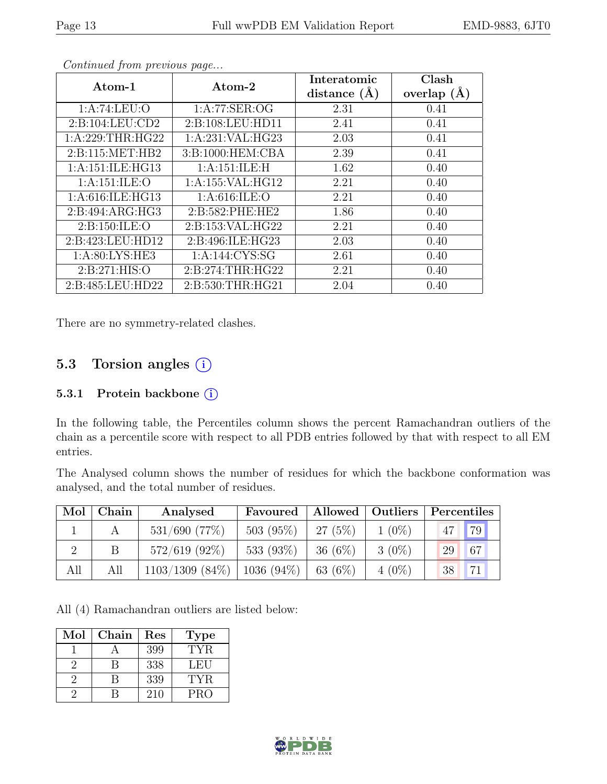| Atom-1              | Atom-2           | Interatomic<br>distance $(A)$ | Clash<br>overlap $(A)$ |
|---------------------|------------------|-------------------------------|------------------------|
| 1:A:74:LEU:O        | 1: A:77: SER:OG  | 2.31                          | 0.41                   |
| 2: B: 104: LEU: CD2 | 2:B:108:LEU:HD11 | 2.41                          | 0.41                   |
| 1: A:229:THR:HG22   | 1:A:231:VAL:HG23 | 2.03                          | 0.41                   |
| 2:B:115:MET:HB2     | 3:B:1000:HEM:CBA | 2.39                          | 0.41                   |
| 1: A:151: ILE: HG13 | 1:A:151:ILE:H    | 1.62                          | 0.40                   |
| 1: A:151: ILE: O    | 1:A:155:VAL:HG12 | 2.21                          | 0.40                   |
| 1: A:616: ILE: HG13 | 1: A:616: ILE: O | 2.21                          | 0.40                   |
| 2: B:494: ARG: HG3  | 2:B:582:PHE:HE2  | 1.86                          | 0.40                   |
| 2: B: 150: ILE: O   | 2:B:153:VAL:HG22 | 2.21                          | 0.40                   |
| 2:B:423:LEU:HD12    | 2:B:496:ILE:HG23 | 2.03                          | 0.40                   |
| 1: A:80: LYS: HE3   | 1:A:144:CYS:SG   | 2.61                          | 0.40                   |
| 2: B:271: HIS:O     | 2:B:274:THR:HG22 | 2.21                          | 0.40                   |
| 2:B:485:LEU:HD22    | 2:B:530:THR:HG21 | 2.04                          | 0.40                   |

Continued from previous page...

There are no symmetry-related clashes.

## 5.3 Torsion angles  $(i)$

#### 5.3.1 Protein backbone ①

In the following table, the Percentiles column shows the percent Ramachandran outliers of the chain as a percentile score with respect to all PDB entries followed by that with respect to all EM entries.

The Analysed column shows the number of residues for which the backbone conformation was analysed, and the total number of residues.

| Mol | Chain | Analysed           | Favoured     |            | Allowed   Outliers | Percentiles |    |
|-----|-------|--------------------|--------------|------------|--------------------|-------------|----|
|     |       | $531/690$ (77%)    | $503(95\%)$  | 27(5%)     | $1(0\%)$           | 47          | 79 |
|     |       | $572/619$ (92%)    | 533 $(93\%)$ | $36(6\%)$  | $3(0\%)$           | 29          | 67 |
| All | All   | $1103/1309$ (84\%) | $1036(94\%)$ | 63 $(6\%)$ | $4(0\%)$           | 38          | 71 |

All (4) Ramachandran outliers are listed below:

| Mol | Chain | Res | <b>Type</b> |
|-----|-------|-----|-------------|
|     |       | 399 | TYR.        |
|     |       | 338 | LEU         |
|     |       | 339 | TYR.        |
|     |       | 210 | PRO         |

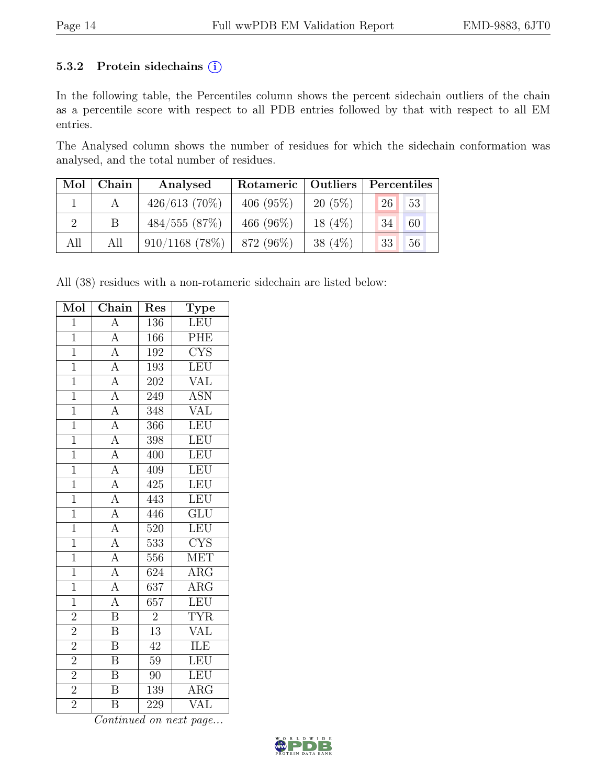#### 5.3.2 Protein sidechains (i)

In the following table, the Percentiles column shows the percent sidechain outliers of the chain as a percentile score with respect to all PDB entries followed by that with respect to all EM entries.

The Analysed column shows the number of residues for which the sidechain conformation was analysed, and the total number of residues.

| Mol | Chain | Analysed          | Rotameric   Outliers   Percentiles |           |          |  |  |
|-----|-------|-------------------|------------------------------------|-----------|----------|--|--|
|     |       | $426/613(70\%)$   | 406 $(95\%)$                       | $20(5\%)$ | 53<br>26 |  |  |
|     |       | 484/555(87%)      | 466 $(96\%)$                       | 18 $(4%)$ | 60<br>34 |  |  |
| All | All   | $910/1168$ (78\%) | 872 (96%)                          | 38 $(4%)$ | 56<br>33 |  |  |

All (38) residues with a non-rotameric sidechain are listed below:

| Mol            | $\overline{\text{Chain}}$                                                                                                                                                                                     | Res              | ${\bf Type}$                    |
|----------------|---------------------------------------------------------------------------------------------------------------------------------------------------------------------------------------------------------------|------------------|---------------------------------|
| $\overline{1}$ | $\overline{A}$                                                                                                                                                                                                | 136              | LEU                             |
| $\overline{1}$ |                                                                                                                                                                                                               | 166              | PHE                             |
| $\overline{1}$ |                                                                                                                                                                                                               | 192              | $\overline{\text{C} \text{YS}}$ |
| $\overline{1}$ | $\frac{\overline{A}}{\overline{A}}$ $\frac{\overline{A}}{\overline{A}}$ $\frac{\overline{A}}{\overline{A}}$                                                                                                   | 193              | LEU                             |
| $\overline{1}$ |                                                                                                                                                                                                               | 202              | $\overline{\text{VAL}}$         |
| $\mathbf{1}$   |                                                                                                                                                                                                               | 249              | <b>ASN</b>                      |
| $\overline{1}$ | $\frac{\overline{A}}{\overline{A}} \frac{\overline{A}}{\overline{A}} \frac{\overline{A}}{\overline{A}} \frac{\overline{A}}{\overline{A}} \frac{\overline{A}}{\overline{A}} \frac{\overline{A}}{\overline{A}}$ | 348              | <b>VAL</b>                      |
| $\overline{1}$ |                                                                                                                                                                                                               | 366              | LEU                             |
| $\overline{1}$ |                                                                                                                                                                                                               | 398              | LEU                             |
| $\overline{1}$ |                                                                                                                                                                                                               | 400              | LEU                             |
| $\mathbf{1}$   |                                                                                                                                                                                                               | 409              | LEU                             |
| $\overline{1}$ |                                                                                                                                                                                                               | 425              | LEU                             |
| $\overline{1}$ |                                                                                                                                                                                                               | 443              | LEU                             |
| $\overline{1}$ |                                                                                                                                                                                                               | 446              | $\overline{{\rm GLU}}$          |
| $\overline{1}$ |                                                                                                                                                                                                               | 520              | LEU                             |
| $\overline{1}$ |                                                                                                                                                                                                               | $\overline{533}$ | <b>CYS</b>                      |
| $\overline{1}$ |                                                                                                                                                                                                               | 556              | <b>MET</b>                      |
| $\overline{1}$ |                                                                                                                                                                                                               | 624              | $\overline{\text{ARG}}$         |
| $\overline{1}$ |                                                                                                                                                                                                               | $\overline{637}$ | $\overline{\text{ARG}}$         |
| $\overline{1}$ |                                                                                                                                                                                                               | 657              | LEU                             |
| $\overline{c}$ | $\overline{\mathbf{B}}$                                                                                                                                                                                       | $\overline{2}$   | <b>TYR</b>                      |
| $\overline{2}$ | $\overline{\mathrm{B}}$                                                                                                                                                                                       | $\overline{13}$  | <b>VAL</b>                      |
| $\overline{2}$ | $\overline{\mathrm{B}}$                                                                                                                                                                                       | 42               | ILE                             |
| $\overline{2}$ | $\overline{\mathrm{B}}$                                                                                                                                                                                       | $\overline{59}$  | LEU                             |
| $\overline{2}$ | $\overline{\mathrm{B}}$                                                                                                                                                                                       | 90               | LEU                             |
| $\overline{2}$ | $\overline{\mathrm{B}}$                                                                                                                                                                                       | 139              | $\overline{\rm{ARG}}$           |
| $\overline{2}$ | $\overline{\rm B}$                                                                                                                                                                                            | 229              | $\overline{\text{VAL}}$         |

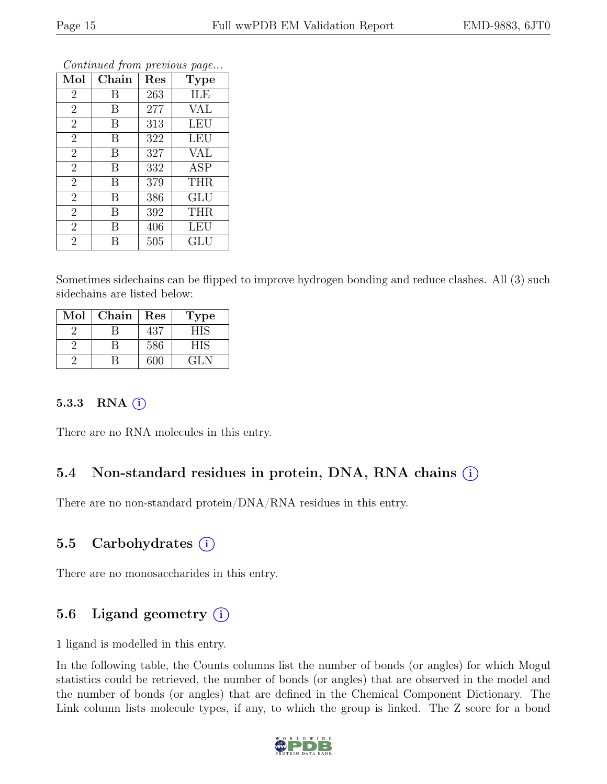| Mol            | Chain | Res | Type       |
|----------------|-------|-----|------------|
| $\overline{2}$ | В     | 263 | ILE        |
| $\overline{2}$ | B     | 277 | <b>VAL</b> |
| $\overline{2}$ | B     | 313 | <b>LEU</b> |
| $\overline{2}$ | B     | 322 | <b>LEU</b> |
| $\overline{2}$ | B     | 327 | VAL        |
| $\overline{2}$ | B     | 332 | ASP        |
| $\overline{2}$ | B     | 379 | <b>THR</b> |
| $\overline{2}$ | B     | 386 | <b>GLU</b> |
| $\overline{2}$ | В     | 392 | <b>THR</b> |
| $\overline{2}$ | В     | 406 | LEU        |
| $\overline{2}$ | В     | 505 | GLU        |

Continued from previous page...

Sometimes sidechains can be flipped to improve hydrogen bonding and reduce clashes. All (3) such sidechains are listed below:

| Mol | Chain | Res | Type |
|-----|-------|-----|------|
|     |       | 437 | ЧĽ   |
|     |       | 586 | HIS  |
|     |       | 600 | GLN  |

#### 5.3.3 RNA  $(i)$

There are no RNA molecules in this entry.

### 5.4 Non-standard residues in protein, DNA, RNA chains (i)

There are no non-standard protein/DNA/RNA residues in this entry.

### 5.5 Carbohydrates  $(i)$

There are no monosaccharides in this entry.

### 5.6 Ligand geometry  $(i)$

1 ligand is modelled in this entry.

In the following table, the Counts columns list the number of bonds (or angles) for which Mogul statistics could be retrieved, the number of bonds (or angles) that are observed in the model and the number of bonds (or angles) that are defined in the Chemical Component Dictionary. The Link column lists molecule types, if any, to which the group is linked. The Z score for a bond

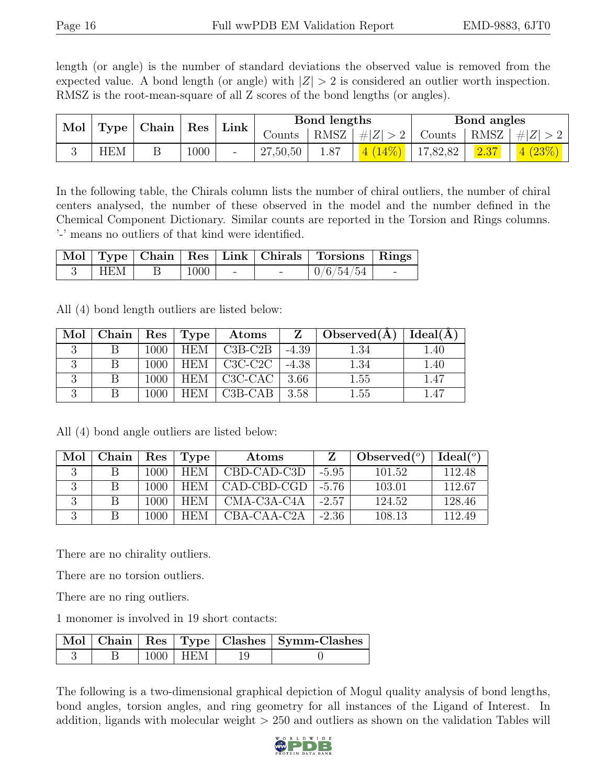length (or angle) is the number of standard deviations the observed value is removed from the expected value. A bond length (or angle) with  $|Z| > 2$  is considered an outlier worth inspection. RMSZ is the root-mean-square of all Z scores of the bond lengths (or angles).

| Mol | Type       | Chain | $\operatorname{Res}$ | Link | Bond lengths |      |           | Bond angles |      |         |
|-----|------------|-------|----------------------|------|--------------|------|-----------|-------------|------|---------|
|     |            |       |                      |      | Counts       | RMSZ | #Z  > 2   | Counts      | RMSZ | $\# Z $ |
|     | <b>HEM</b> |       | 1000                 | -    | 27,50,50     | 1.87 | $4(14\%)$ | 17,82,82    | 2.37 |         |

In the following table, the Chirals column lists the number of chiral outliers, the number of chiral centers analysed, the number of these observed in the model and the number defined in the Chemical Component Dictionary. Similar counts are reported in the Torsion and Rings columns. '-' means no outliers of that kind were identified.

|     |              |  | Mol   Type   Chain   Res   Link   Chirals   Torsions   Rings |  |
|-----|--------------|--|--------------------------------------------------------------|--|
| HEM | $\perp 1000$ |  | $\frac{1}{10/6/54/54}$                                       |  |

All (4) bond length outliers are listed below:

| $\bf{Mol}$ | Chain |      | $Res \mid Type$ | $\boldsymbol{\mathrm{Atoms}}$ | Z       | Observed(A) | Ideal(A) |
|------------|-------|------|-----------------|-------------------------------|---------|-------------|----------|
|            |       | 1000 | <b>HEM</b>      | $C3B-C2B$                     | $-4.39$ | 1.34        | 1.40     |
|            |       | 1000 | <b>HEM</b>      | $C3C-C2C$                     | $-4.38$ | 1.34        | 1.40     |
|            |       | 1000 | <b>HEM</b>      | $\text{C3C-CAC}$ 3.66         |         | 1.55        | 1.47     |
|            |       | 1000 | <b>HEM</b>      | C3B-CAB                       | 3.58    | 1.55        | 1.47     |

All (4) bond angle outliers are listed below:

| Mol | Chain | Res  | Type       | <b>Atoms</b>  | Z       | Observed $(°)$ | Ideal(°) |
|-----|-------|------|------------|---------------|---------|----------------|----------|
|     |       | 1000 | <b>HEM</b> | CBD-CAD-C3D   | $-5.95$ | 101.52         | 112.48   |
|     |       | 1000 | HEM        | CAD-CBD-CGD   | -5.76   | 103.01         | 112.67   |
|     |       | 1000 | <b>HEM</b> | $CMA-C3A-C4A$ | $-2.57$ | 124.52         | 128.46   |
|     |       | 1000 | <b>HEM</b> | CBA-CAA-C2A   | $-2.36$ | 108.13         | 112.49   |

There are no chirality outliers.

There are no torsion outliers.

There are no ring outliers.

1 monomer is involved in 19 short contacts:

|  |                        | Mol   Chain   Res   Type   Clashes   Symm-Clashes |
|--|------------------------|---------------------------------------------------|
|  | $\mid$ 1000 $\mid$ HEM |                                                   |

The following is a two-dimensional graphical depiction of Mogul quality analysis of bond lengths, bond angles, torsion angles, and ring geometry for all instances of the Ligand of Interest. In addition, ligands with molecular weight  $> 250$  and outliers as shown on the validation Tables will

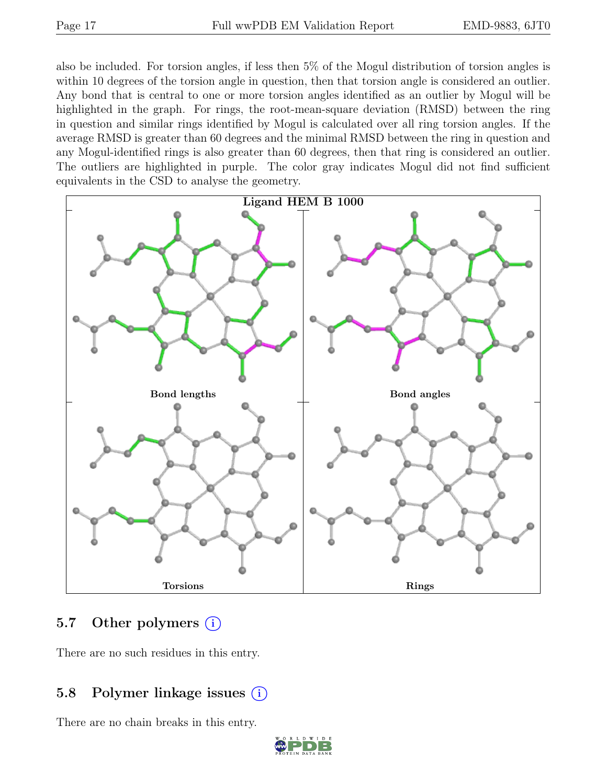also be included. For torsion angles, if less then 5% of the Mogul distribution of torsion angles is within 10 degrees of the torsion angle in question, then that torsion angle is considered an outlier. Any bond that is central to one or more torsion angles identified as an outlier by Mogul will be highlighted in the graph. For rings, the root-mean-square deviation (RMSD) between the ring in question and similar rings identified by Mogul is calculated over all ring torsion angles. If the average RMSD is greater than 60 degrees and the minimal RMSD between the ring in question and any Mogul-identified rings is also greater than 60 degrees, then that ring is considered an outlier. The outliers are highlighted in purple. The color gray indicates Mogul did not find sufficient equivalents in the CSD to analyse the geometry.



## 5.7 Other polymers  $(i)$

There are no such residues in this entry.

### 5.8 Polymer linkage issues  $(i)$

There are no chain breaks in this entry.

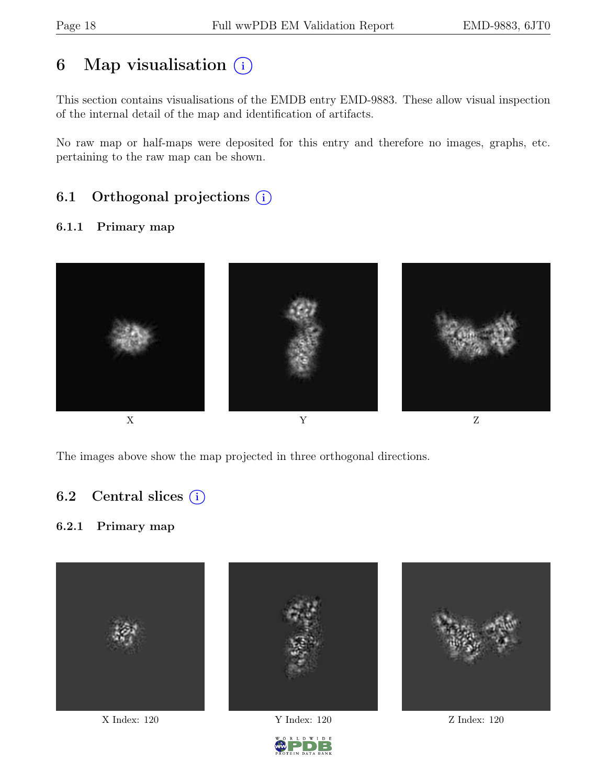## 6 Map visualisation  $(i)$

This section contains visualisations of the EMDB entry EMD-9883. These allow visual inspection of the internal detail of the map and identification of artifacts.

No raw map or half-maps were deposited for this entry and therefore no images, graphs, etc. pertaining to the raw map can be shown.

## 6.1 Orthogonal projections  $(i)$

#### 6.1.1 Primary map



The images above show the map projected in three orthogonal directions.

### 6.2 Central slices  $(i)$

#### 6.2.1 Primary map



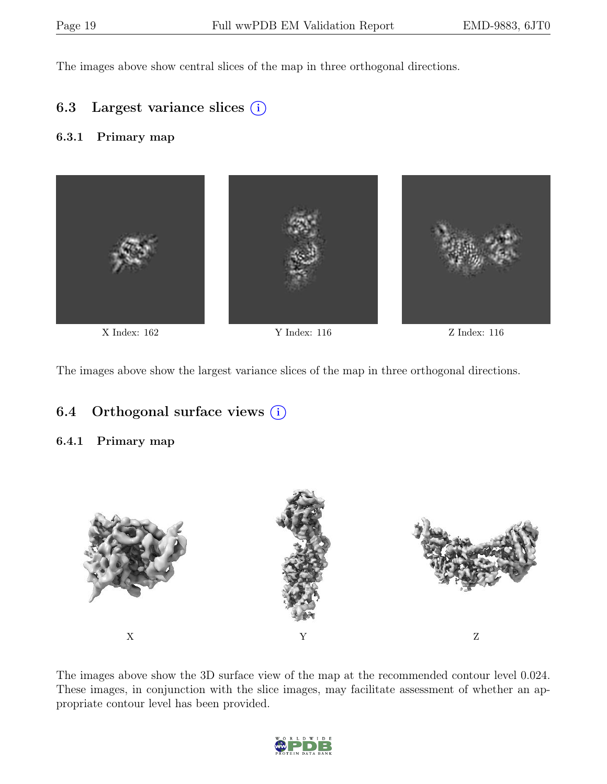The images above show central slices of the map in three orthogonal directions.

### 6.3 Largest variance slices  $(i)$

#### 6.3.1 Primary map



X Index: 162 Y Index: 116 Z Index: 116

The images above show the largest variance slices of the map in three orthogonal directions.

### 6.4 Orthogonal surface views  $(i)$

#### 6.4.1 Primary map



The images above show the 3D surface view of the map at the recommended contour level 0.024. These images, in conjunction with the slice images, may facilitate assessment of whether an appropriate contour level has been provided.

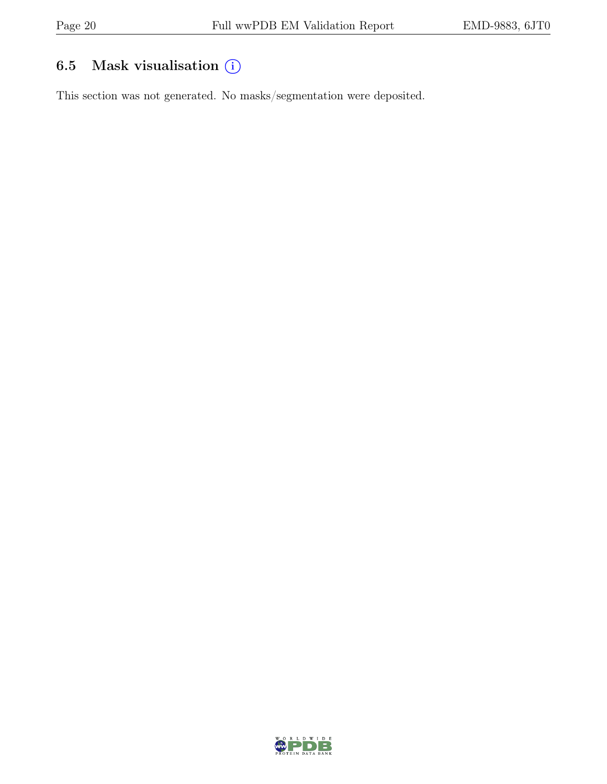## 6.5 Mask visualisation  $(i)$

This section was not generated. No masks/segmentation were deposited.

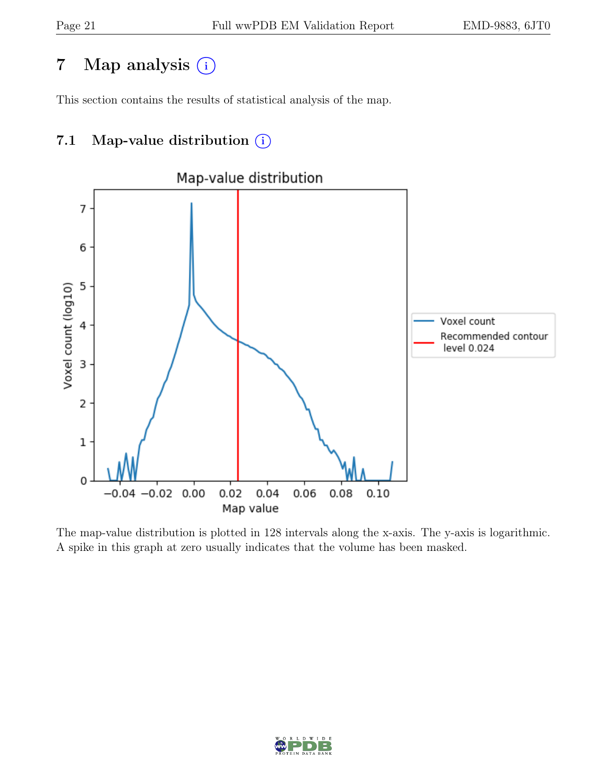## 7 Map analysis (i)

This section contains the results of statistical analysis of the map.

## 7.1 Map-value distribution  $(i)$



The map-value distribution is plotted in 128 intervals along the x-axis. The y-axis is logarithmic. A spike in this graph at zero usually indicates that the volume has been masked.

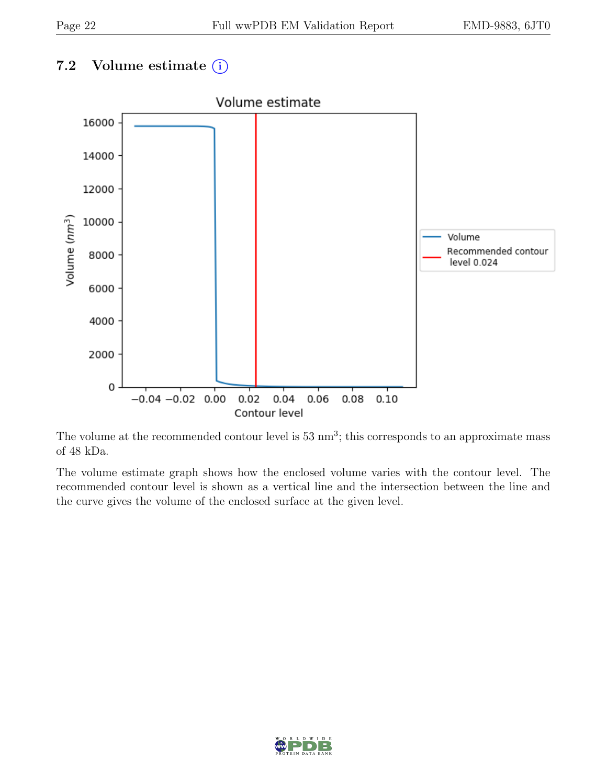## 7.2 Volume estimate  $(i)$



The volume at the recommended contour level is  $53 \text{ nm}^3$ ; this corresponds to an approximate mass of 48 kDa.

The volume estimate graph shows how the enclosed volume varies with the contour level. The recommended contour level is shown as a vertical line and the intersection between the line and the curve gives the volume of the enclosed surface at the given level.

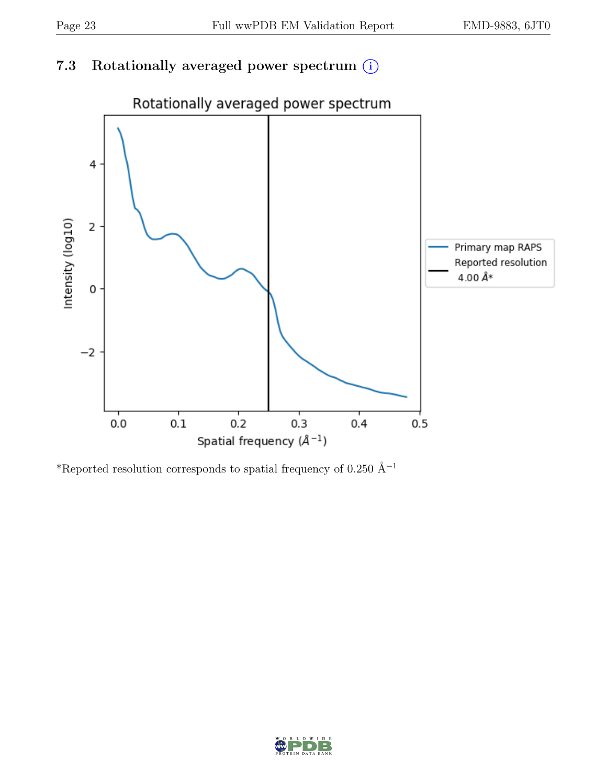## 7.3 Rotationally averaged power spectrum  $(i)$



\*Reported resolution corresponds to spatial frequency of 0.250 Å<sup>-1</sup>

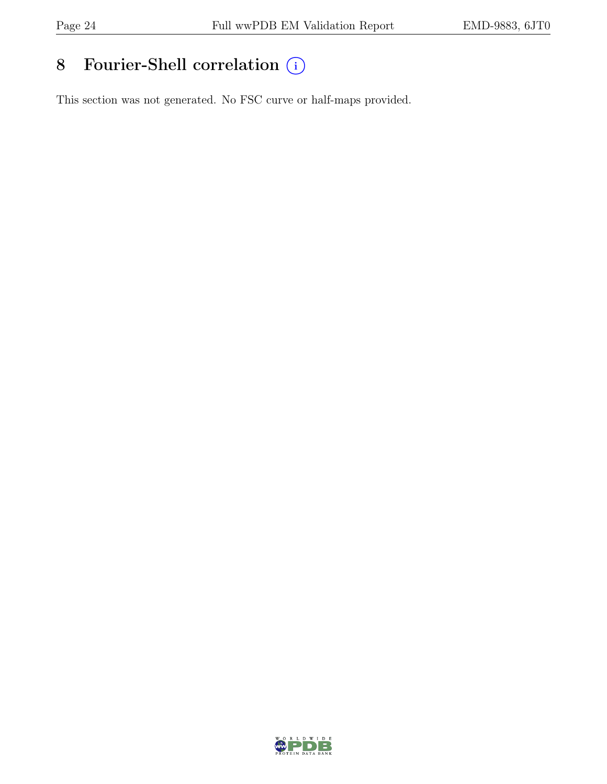# 8 Fourier-Shell correlation  $\bigcirc$

This section was not generated. No FSC curve or half-maps provided.

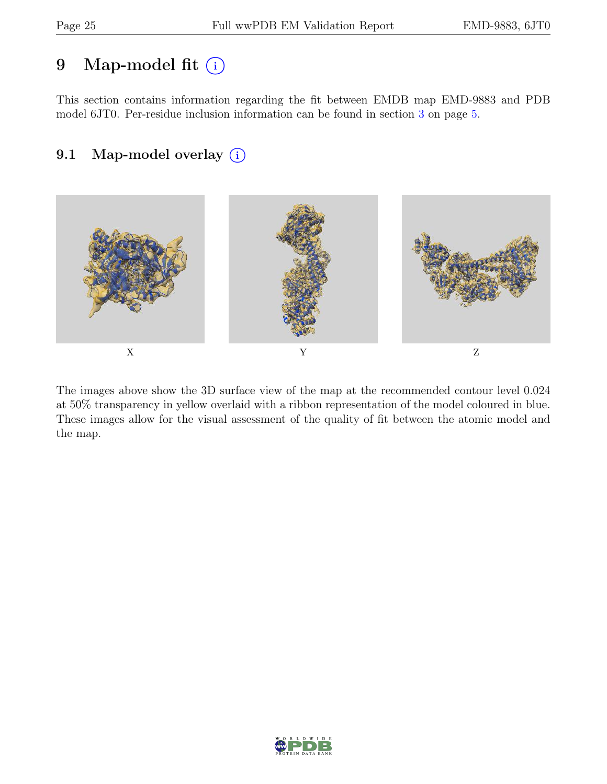## 9 Map-model fit  $(i)$

This section contains information regarding the fit between EMDB map EMD-9883 and PDB model 6JT0. Per-residue inclusion information can be found in section [3](#page-4-0) on page [5.](#page-4-0)

## 9.1 Map-model overlay (i)



The images above show the 3D surface view of the map at the recommended contour level 0.024 at 50% transparency in yellow overlaid with a ribbon representation of the model coloured in blue. These images allow for the visual assessment of the quality of fit between the atomic model and the map.